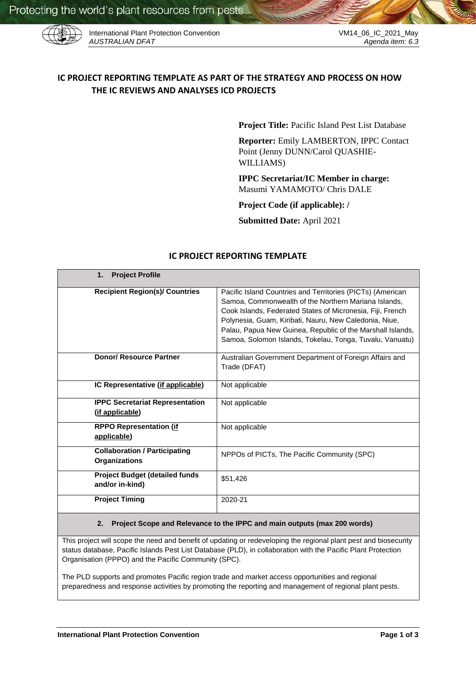

International Plant Protection Convention VM14\_06\_IC\_2021\_May *AUSTRALIAN DFAT Agenda item: 6.3*

# **IC PROJECT REPORTING TEMPLATE AS PART OF THE STRATEGY AND PROCESS ON HOW THE IC REVIEWS AND ANALYSES ICD PROJECTS**

**Project Title:** Pacific Island Pest List Database

**Reporter:** Emily LAMBERTON, IPPC Contact Point (Jenny DUNN/Carol QUASHIE-WILLIAMS)

**IPPC Secretariat/IC Member in charge:**  Masumi YAMAMOTO/ Chris DALE

**Project Code (if applicable): /**

**Submitted Date:** April 2021

## **IC PROJECT REPORTING TEMPLATE**

| <b>Project Profile</b><br>1.                                 |                                                                                                                                                                                                                                                                                                                                                                      |
|--------------------------------------------------------------|----------------------------------------------------------------------------------------------------------------------------------------------------------------------------------------------------------------------------------------------------------------------------------------------------------------------------------------------------------------------|
| <b>Recipient Region(s)/ Countries</b>                        | Pacific Island Countries and Territories (PICTs) (American<br>Samoa, Commonwealth of the Northern Mariana Islands,<br>Cook Islands, Federated States of Micronesia, Fiji, French<br>Polynesia, Guam, Kiribati, Nauru, New Caledonia, Niue,<br>Palau, Papua New Guinea, Republic of the Marshall Islands,<br>Samoa, Solomon Islands, Tokelau, Tonga, Tuvalu, Vanuatu) |
| <b>Donor/ Resource Partner</b>                               | Australian Government Department of Foreign Affairs and<br>Trade (DFAT)                                                                                                                                                                                                                                                                                              |
| IC Representative (if applicable)                            | Not applicable                                                                                                                                                                                                                                                                                                                                                       |
| <b>IPPC Secretariat Representation</b><br>(if applicable)    | Not applicable                                                                                                                                                                                                                                                                                                                                                       |
| <b>RPPO Representation (if</b><br>applicable)                | Not applicable                                                                                                                                                                                                                                                                                                                                                       |
| <b>Collaboration / Participating</b><br><b>Organizations</b> | NPPOs of PICTs, The Pacific Community (SPC)                                                                                                                                                                                                                                                                                                                          |
| <b>Project Budget (detailed funds</b><br>and/or in-kind)     | \$51,426                                                                                                                                                                                                                                                                                                                                                             |
| <b>Project Timing</b>                                        | 2020-21                                                                                                                                                                                                                                                                                                                                                              |

**2. Project Scope and Relevance to the IPPC and main outputs (max 200 words)**

This project will scope the need and benefit of updating or redeveloping the regional plant pest and biosecurity status database, Pacific Islands Pest List Database (PLD), in collaboration with the Pacific Plant Protection Organisation (PPPO) and the Pacific Community (SPC).

The PLD supports and promotes Pacific region trade and market access opportunities and regional preparedness and response activities by promoting the reporting and management of regional plant pests.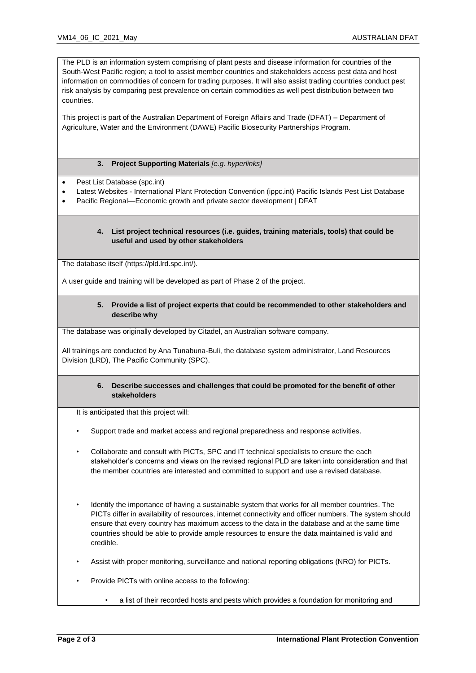The PLD is an information system comprising of plant pests and disease information for countries of the South-West Pacific region; a tool to assist member countries and stakeholders access pest data and host information on commodities of concern for trading purposes. It will also assist trading countries conduct pest risk analysis by comparing pest prevalence on certain commodities as well pest distribution between two countries.

This project is part of the Australian Department of Foreign Affairs and Trade (DFAT) – Department of Agriculture, Water and the Environment (DAWE) Pacific Biosecurity Partnerships Program.

#### **3. Project Supporting Materials** *[e.g. hyperlinks]*

- Pest List Database (spc.int)
- Latest Websites International Plant Protection Convention (ippc.int) Pacific Islands Pest List Database
- Pacific Regional—Economic growth and private sector development | DFAT

#### **4. List project technical resources (i.e. guides, training materials, tools) that could be useful and used by other stakeholders**

The database itself (https://pld.lrd.spc.int/).

A user guide and training will be developed as part of Phase 2 of the project.

#### **5. Provide a list of project experts that could be recommended to other stakeholders and describe why**

The database was originally developed by Citadel, an Australian software company.

All trainings are conducted by Ana Tunabuna-Buli, the database system administrator, Land Resources Division (LRD), The Pacific Community (SPC).

### **6. Describe successes and challenges that could be promoted for the benefit of other stakeholders**

It is anticipated that this project will:

- Support trade and market access and regional preparedness and response activities.
- Collaborate and consult with PICTs, SPC and IT technical specialists to ensure the each stakeholder's concerns and views on the revised regional PLD are taken into consideration and that the member countries are interested and committed to support and use a revised database.
- Identify the importance of having a sustainable system that works for all member countries. The PICTs differ in availability of resources, internet connectivity and officer numbers. The system should ensure that every country has maximum access to the data in the database and at the same time countries should be able to provide ample resources to ensure the data maintained is valid and credible.
- Assist with proper monitoring, surveillance and national reporting obligations (NRO) for PICTs.
- Provide PICTs with online access to the following:
	- a list of their recorded hosts and pests which provides a foundation for monitoring and